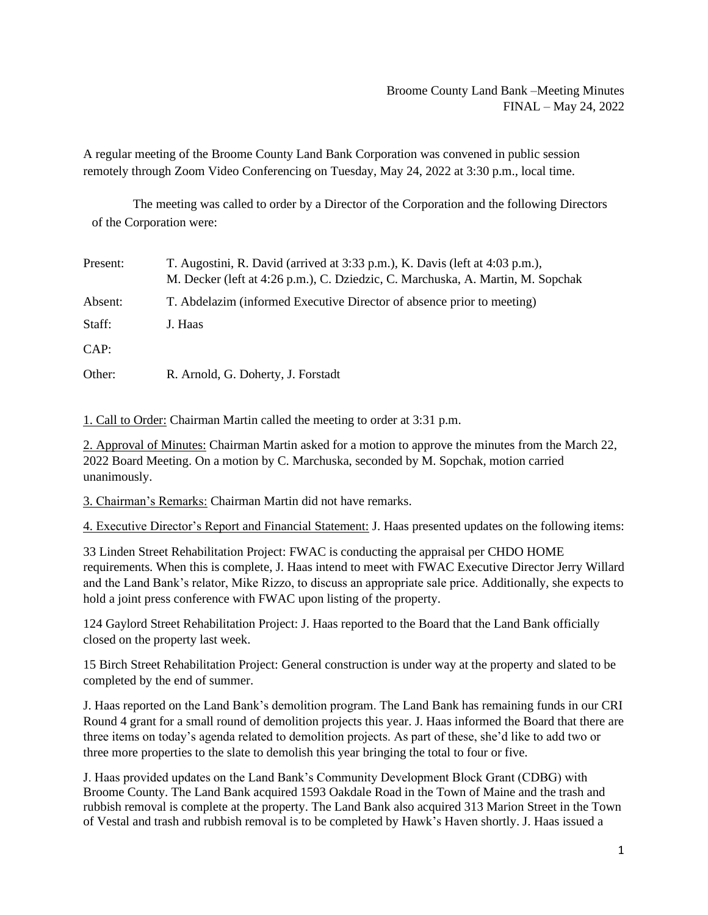## Broome County Land Bank –Meeting Minutes FINAL – May 24, 2022

A regular meeting of the Broome County Land Bank Corporation was convened in public session remotely through Zoom Video Conferencing on Tuesday, May 24, 2022 at 3:30 p.m., local time.

The meeting was called to order by a Director of the Corporation and the following Directors of the Corporation were:

| Present: | T. Augostini, R. David (arrived at 3:33 p.m.), K. Davis (left at 4:03 p.m.),<br>M. Decker (left at 4:26 p.m.), C. Dziedzic, C. Marchuska, A. Martin, M. Sopchak |
|----------|-----------------------------------------------------------------------------------------------------------------------------------------------------------------|
| Absent:  | T. Abdelazim (informed Executive Director of absence prior to meeting)                                                                                          |
| Staff:   | J. Haas                                                                                                                                                         |
| CAP:     |                                                                                                                                                                 |
| Other:   | R. Arnold, G. Doherty, J. Forstadt                                                                                                                              |

1. Call to Order: Chairman Martin called the meeting to order at 3:31 p.m.

2. Approval of Minutes: Chairman Martin asked for a motion to approve the minutes from the March 22, 2022 Board Meeting. On a motion by C. Marchuska, seconded by M. Sopchak, motion carried unanimously.

3. Chairman's Remarks: Chairman Martin did not have remarks.

4. Executive Director's Report and Financial Statement: J. Haas presented updates on the following items:

33 Linden Street Rehabilitation Project: FWAC is conducting the appraisal per CHDO HOME requirements. When this is complete, J. Haas intend to meet with FWAC Executive Director Jerry Willard and the Land Bank's relator, Mike Rizzo, to discuss an appropriate sale price. Additionally, she expects to hold a joint press conference with FWAC upon listing of the property.

124 Gaylord Street Rehabilitation Project: J. Haas reported to the Board that the Land Bank officially closed on the property last week.

15 Birch Street Rehabilitation Project: General construction is under way at the property and slated to be completed by the end of summer.

J. Haas reported on the Land Bank's demolition program. The Land Bank has remaining funds in our CRI Round 4 grant for a small round of demolition projects this year. J. Haas informed the Board that there are three items on today's agenda related to demolition projects. As part of these, she'd like to add two or three more properties to the slate to demolish this year bringing the total to four or five.

J. Haas provided updates on the Land Bank's Community Development Block Grant (CDBG) with Broome County. The Land Bank acquired 1593 Oakdale Road in the Town of Maine and the trash and rubbish removal is complete at the property. The Land Bank also acquired 313 Marion Street in the Town of Vestal and trash and rubbish removal is to be completed by Hawk's Haven shortly. J. Haas issued a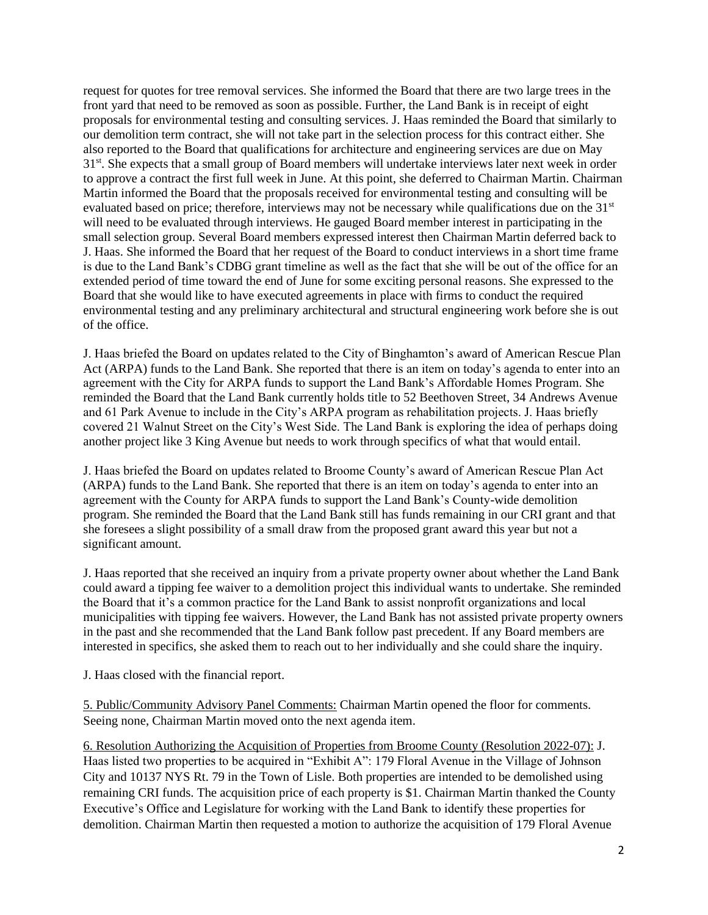request for quotes for tree removal services. She informed the Board that there are two large trees in the front yard that need to be removed as soon as possible. Further, the Land Bank is in receipt of eight proposals for environmental testing and consulting services. J. Haas reminded the Board that similarly to our demolition term contract, she will not take part in the selection process for this contract either. She also reported to the Board that qualifications for architecture and engineering services are due on May 31<sup>st</sup>. She expects that a small group of Board members will undertake interviews later next week in order to approve a contract the first full week in June. At this point, she deferred to Chairman Martin. Chairman Martin informed the Board that the proposals received for environmental testing and consulting will be evaluated based on price; therefore, interviews may not be necessary while qualifications due on the  $31<sup>st</sup>$ will need to be evaluated through interviews. He gauged Board member interest in participating in the small selection group. Several Board members expressed interest then Chairman Martin deferred back to J. Haas. She informed the Board that her request of the Board to conduct interviews in a short time frame is due to the Land Bank's CDBG grant timeline as well as the fact that she will be out of the office for an extended period of time toward the end of June for some exciting personal reasons. She expressed to the Board that she would like to have executed agreements in place with firms to conduct the required environmental testing and any preliminary architectural and structural engineering work before she is out of the office.

J. Haas briefed the Board on updates related to the City of Binghamton's award of American Rescue Plan Act (ARPA) funds to the Land Bank. She reported that there is an item on today's agenda to enter into an agreement with the City for ARPA funds to support the Land Bank's Affordable Homes Program. She reminded the Board that the Land Bank currently holds title to 52 Beethoven Street, 34 Andrews Avenue and 61 Park Avenue to include in the City's ARPA program as rehabilitation projects. J. Haas briefly covered 21 Walnut Street on the City's West Side. The Land Bank is exploring the idea of perhaps doing another project like 3 King Avenue but needs to work through specifics of what that would entail.

J. Haas briefed the Board on updates related to Broome County's award of American Rescue Plan Act (ARPA) funds to the Land Bank. She reported that there is an item on today's agenda to enter into an agreement with the County for ARPA funds to support the Land Bank's County-wide demolition program. She reminded the Board that the Land Bank still has funds remaining in our CRI grant and that she foresees a slight possibility of a small draw from the proposed grant award this year but not a significant amount.

J. Haas reported that she received an inquiry from a private property owner about whether the Land Bank could award a tipping fee waiver to a demolition project this individual wants to undertake. She reminded the Board that it's a common practice for the Land Bank to assist nonprofit organizations and local municipalities with tipping fee waivers. However, the Land Bank has not assisted private property owners in the past and she recommended that the Land Bank follow past precedent. If any Board members are interested in specifics, she asked them to reach out to her individually and she could share the inquiry.

J. Haas closed with the financial report.

5. Public/Community Advisory Panel Comments: Chairman Martin opened the floor for comments. Seeing none, Chairman Martin moved onto the next agenda item.

6. Resolution Authorizing the Acquisition of Properties from Broome County (Resolution 2022-07): J. Haas listed two properties to be acquired in "Exhibit A": 179 Floral Avenue in the Village of Johnson City and 10137 NYS Rt. 79 in the Town of Lisle. Both properties are intended to be demolished using remaining CRI funds. The acquisition price of each property is \$1. Chairman Martin thanked the County Executive's Office and Legislature for working with the Land Bank to identify these properties for demolition. Chairman Martin then requested a motion to authorize the acquisition of 179 Floral Avenue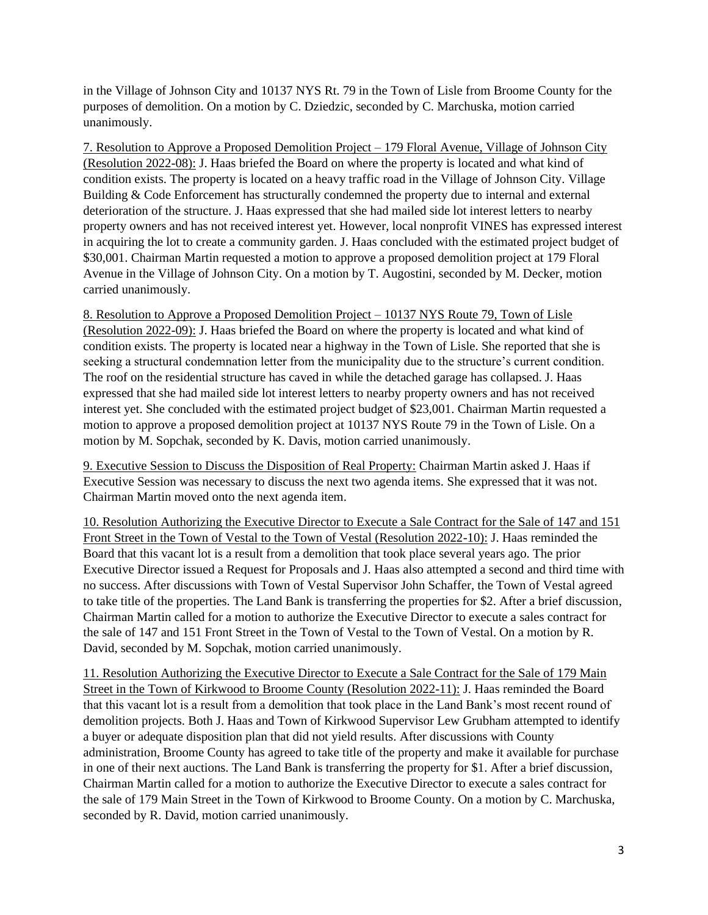in the Village of Johnson City and 10137 NYS Rt. 79 in the Town of Lisle from Broome County for the purposes of demolition. On a motion by C. Dziedzic, seconded by C. Marchuska, motion carried unanimously.

7. Resolution to Approve a Proposed Demolition Project – 179 Floral Avenue, Village of Johnson City (Resolution 2022-08): J. Haas briefed the Board on where the property is located and what kind of condition exists. The property is located on a heavy traffic road in the Village of Johnson City. Village Building & Code Enforcement has structurally condemned the property due to internal and external deterioration of the structure. J. Haas expressed that she had mailed side lot interest letters to nearby property owners and has not received interest yet. However, local nonprofit VINES has expressed interest in acquiring the lot to create a community garden. J. Haas concluded with the estimated project budget of \$30,001. Chairman Martin requested a motion to approve a proposed demolition project at 179 Floral Avenue in the Village of Johnson City. On a motion by T. Augostini, seconded by M. Decker, motion carried unanimously.

8. Resolution to Approve a Proposed Demolition Project – 10137 NYS Route 79, Town of Lisle (Resolution 2022-09): J. Haas briefed the Board on where the property is located and what kind of condition exists. The property is located near a highway in the Town of Lisle. She reported that she is seeking a structural condemnation letter from the municipality due to the structure's current condition. The roof on the residential structure has caved in while the detached garage has collapsed. J. Haas expressed that she had mailed side lot interest letters to nearby property owners and has not received interest yet. She concluded with the estimated project budget of \$23,001. Chairman Martin requested a motion to approve a proposed demolition project at 10137 NYS Route 79 in the Town of Lisle. On a motion by M. Sopchak, seconded by K. Davis, motion carried unanimously.

9. Executive Session to Discuss the Disposition of Real Property: Chairman Martin asked J. Haas if Executive Session was necessary to discuss the next two agenda items. She expressed that it was not. Chairman Martin moved onto the next agenda item.

10. Resolution Authorizing the Executive Director to Execute a Sale Contract for the Sale of 147 and 151 Front Street in the Town of Vestal to the Town of Vestal (Resolution 2022-10): J. Haas reminded the Board that this vacant lot is a result from a demolition that took place several years ago. The prior Executive Director issued a Request for Proposals and J. Haas also attempted a second and third time with no success. After discussions with Town of Vestal Supervisor John Schaffer, the Town of Vestal agreed to take title of the properties. The Land Bank is transferring the properties for \$2. After a brief discussion, Chairman Martin called for a motion to authorize the Executive Director to execute a sales contract for the sale of 147 and 151 Front Street in the Town of Vestal to the Town of Vestal. On a motion by R. David, seconded by M. Sopchak, motion carried unanimously.

11. Resolution Authorizing the Executive Director to Execute a Sale Contract for the Sale of 179 Main Street in the Town of Kirkwood to Broome County (Resolution 2022-11): J. Haas reminded the Board that this vacant lot is a result from a demolition that took place in the Land Bank's most recent round of demolition projects. Both J. Haas and Town of Kirkwood Supervisor Lew Grubham attempted to identify a buyer or adequate disposition plan that did not yield results. After discussions with County administration, Broome County has agreed to take title of the property and make it available for purchase in one of their next auctions. The Land Bank is transferring the property for \$1. After a brief discussion, Chairman Martin called for a motion to authorize the Executive Director to execute a sales contract for the sale of 179 Main Street in the Town of Kirkwood to Broome County. On a motion by C. Marchuska, seconded by R. David, motion carried unanimously.